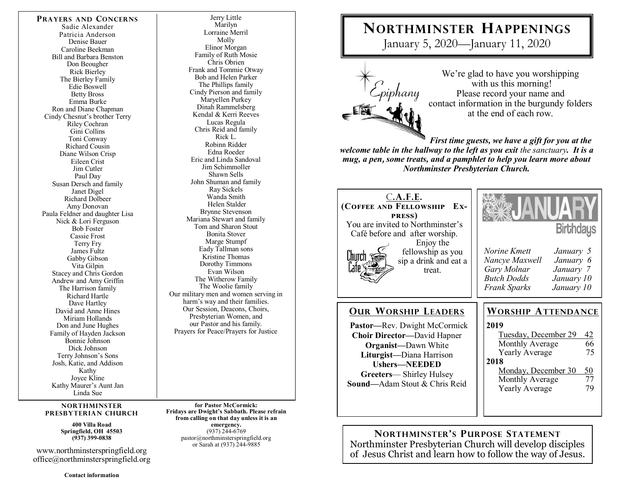**PRAYERS AND CONCERNS** Sadie Alexander Patricia Anderson Denise Bauer Caroline Beekman Bill and Barbara Benston Don Beougher Rick Bierley The Bierley Family Edie Boswell Betty Bross Emma Burke Ron and Diane Chapman Cindy Chesnut's brother Terry Riley Cochran Gini Collins Toni Conway Richard Cousin Diane Wilson Crisp Eileen Crist Jim Cutler Paul Day Susan Dersch and family Janet Digel Richard Dolbeer Amy Donovan Paula Feldner and daughter Lisa Nick & Lori Ferguson Bob Foster Cassie Frost Terry Fry James Fultz Gabby Gibson Vita Gilpin Stacey and Chris Gordon Andrew and Amy Griffin The Harrison family Richard Hartle Dave Hartley David and Anne Hines Miriam Hollands Don and June Hughes Family of Hayden Jackson Bonnie Johnson Dick Johnson Terry Johnson's Sons Josh, Katie, and Addison Kathy Joyce Kline Kathy Maurer's Aunt Jan Linda Sue

#### **NORTHMINSTER PRESBYTERIAN CHURCH**

**400 Villa Road Springfield, OH 45503 (937) 399-0838** 

www.northminsterspringfield.org office@northminsterspringfield.org

**Contact information** 

Jerry Little Marilyn Lorraine Merril Molly Elinor Morgan Family of Ruth Mosie Chris Obrien Frank and Tommie Otway Bob and Helen Parker The Phillips family Cindy Pierson and family Maryellen Purkey Dinah Rammelsberg Kendal & Kerri Reeves Lucas Regula Chris Reid and family Rick L. Robinn Ridder Edna Roeder Eric and Linda Sandoval Jim Schimmoller Shawn Sells John Shuman and family Ray Sickels Wanda Smith Helen Stalder Brynne Stevenson Mariana Stewart and family Tom and Sharon Stout Bonita Stover Marge Stumpf Eady Tallman sons Kristine Thomas Dorothy Timmons Evan Wilson The Witherow Family The Woolie family Our military men and women serving in harm's way and their families. Our Session, Deacons, Choirs, Presbyterian Women, and our Pastor and his family. Prayers for Peace/Prayers for Justice

**for Pastor McCormick: Fridays are Dwight's Sabbath. Please refrain from calling on that day unless it is an emergency.** (937) 244-6769 pastor@northminsterspringfield.org or Sarah at (937) 244-9885

# **NORTHMINSTER HAPPENINGS**

January 5, 2020—January 11, 2020



We're glad to have you worshipping with us this morning! Please record your name and contact information in the burgundy folders at the end of each row.

*First time guests, we have a gift for you at the welcome table in the hallway to the left as you exit the sanctuary. It is a mug, a pen***,** *some treats, and a pamphlet to help you learn more about Northminster Presbyterian Church.* 

| C.A.F.E.                                                                                                                                                                                                                                 | <b>Birthdays</b>                                                                                                                                                                                                            |
|------------------------------------------------------------------------------------------------------------------------------------------------------------------------------------------------------------------------------------------|-----------------------------------------------------------------------------------------------------------------------------------------------------------------------------------------------------------------------------|
| (COFFEE AND FELLOWSHIP                                                                                                                                                                                                                   | Norine Kmett                                                                                                                                                                                                                |
| Ex-                                                                                                                                                                                                                                      | January 5                                                                                                                                                                                                                   |
| <b>PRESS</b> )                                                                                                                                                                                                                           | Nancye Maxwell                                                                                                                                                                                                              |
| You are invited to Northminster's                                                                                                                                                                                                        | January 6                                                                                                                                                                                                                   |
| Café before and after worship.                                                                                                                                                                                                           | Gary Molnar                                                                                                                                                                                                                 |
| Enjoy the                                                                                                                                                                                                                                | January 7                                                                                                                                                                                                                   |
| fellowship as you                                                                                                                                                                                                                        | <b>Butch Dodds</b>                                                                                                                                                                                                          |
| <u>Church</u>                                                                                                                                                                                                                            | January 10                                                                                                                                                                                                                  |
| sip a drink and eat a                                                                                                                                                                                                                    | Frank Sparks                                                                                                                                                                                                                |
| treat.                                                                                                                                                                                                                                   | January 10                                                                                                                                                                                                                  |
| <b>OUR WORSHIP LEADERS</b><br>Pastor—Rev. Dwight McCormick<br><b>Choir Director—David Hapner</b><br><b>Organist</b> —Dawn White<br>Liturgist-Diana Harrison<br>Ushers-NEEDED<br>Greeters—Shirley Hulsey<br>Sound-Adam Stout & Chris Reid | <b>WORSHIP ATTENDANCE</b><br>2019<br>Tuesday, December 29<br>42<br>66<br>Monthly Average<br>75<br><b>Yearly Average</b><br>2018<br>$\frac{50}{77}$<br>Monday, December 30<br>Monthly Average<br>79<br><b>Yearly Average</b> |

**NORTHMINSTER'S PURPOSE STATEMENT** Northminster Presbyterian Church will develop disciples of Jesus Christ and learn how to follow the way of Jesus.